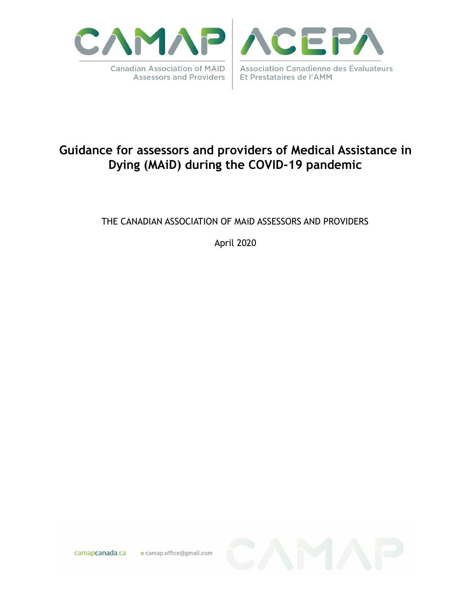



# **Guidance for assessors and providers of Medical Assistance in Dying (MAiD) during the COVID-19 pandemic**

#### THE CANADIAN ASSOCIATION OF MAiD ASSESSORS AND PROVIDERS

April 2020

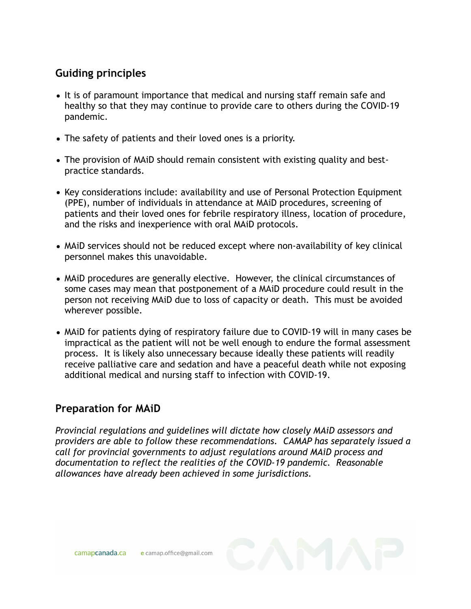## **Guiding principles**

- It is of paramount importance that medical and nursing staff remain safe and healthy so that they may continue to provide care to others during the COVID-19 pandemic.
- The safety of patients and their loved ones is a priority.
- The provision of MAiD should remain consistent with existing quality and bestpractice standards.
- Key considerations include: availability and use of Personal Protection Equipment (PPE), number of individuals in attendance at MAiD procedures, screening of patients and their loved ones for febrile respiratory illness, location of procedure, and the risks and inexperience with oral MAiD protocols.
- MAiD services should not be reduced except where non-availability of key clinical personnel makes this unavoidable.
- MAiD procedures are generally elective. However, the clinical circumstances of some cases may mean that postponement of a MAiD procedure could result in the person not receiving MAiD due to loss of capacity or death. This must be avoided wherever possible.
- MAiD for patients dying of respiratory failure due to COVID-19 will in many cases be impractical as the patient will not be well enough to endure the formal assessment process. It is likely also unnecessary because ideally these patients will readily receive palliative care and sedation and have a peaceful death while not exposing additional medical and nursing staff to infection with COVID-19.

#### **Preparation for MAiD**

*Provincial regulations and guidelines will dictate how closely MAiD assessors and providers are able to follow these recommendations. CAMAP has separately issued a call for provincial governments to adjust regulations around MAiD process and documentation to reflect the realities of the COVID-19 pandemic. Reasonable allowances have already been achieved in some jurisdictions.*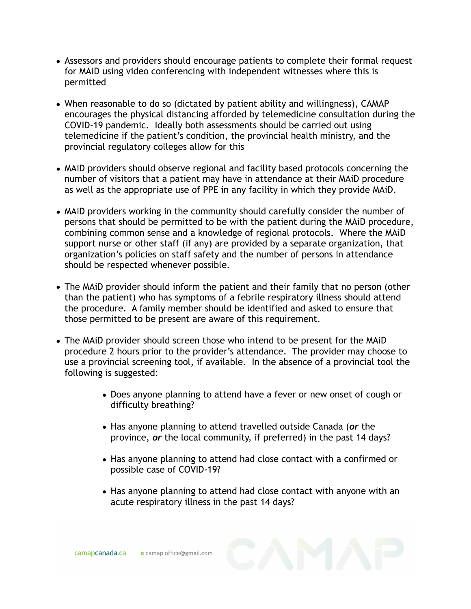- Assessors and providers should encourage patients to complete their formal request for MAiD using video conferencing with independent witnesses where this is permitted
- When reasonable to do so (dictated by patient ability and willingness), CAMAP encourages the physical distancing afforded by telemedicine consultation during the COVID-19 pandemic. Ideally both assessments should be carried out using telemedicine if the patient's condition, the provincial health ministry, and the provincial regulatory colleges allow for this
- MAiD providers should observe regional and facility based protocols concerning the number of visitors that a patient may have in attendance at their MAiD procedure as well as the appropriate use of PPE in any facility in which they provide MAiD.
- MAiD providers working in the community should carefully consider the number of persons that should be permitted to be with the patient during the MAiD procedure, combining common sense and a knowledge of regional protocols. Where the MAiD support nurse or other staff (if any) are provided by a separate organization, that organization's policies on staff safety and the number of persons in attendance should be respected whenever possible.
- The MAiD provider should inform the patient and their family that no person (other than the patient) who has symptoms of a febrile respiratory illness should attend the procedure. A family member should be identified and asked to ensure that those permitted to be present are aware of this requirement.
- The MAiD provider should screen those who intend to be present for the MAiD procedure 2 hours prior to the provider's attendance. The provider may choose to use a provincial screening tool, if available. In the absence of a provincial tool the following is suggested:
	- Does anyone planning to attend have a fever or new onset of cough or difficulty breathing?
	- Has anyone planning to attend travelled outside Canada (*or* the province, *or* the local community, if preferred) in the past 14 days?
	- Has anyone planning to attend had close contact with a confirmed or possible case of COVID-19?
	- Has anyone planning to attend had close contact with anyone with an acute respiratory illness in the past 14 days?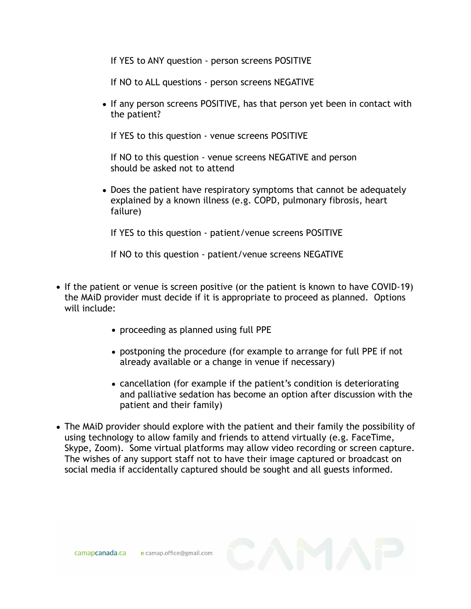If YES to ANY question - person screens POSITIVE

If NO to ALL questions - person screens NEGATIVE

• If any person screens POSITIVE, has that person yet been in contact with the patient?

If YES to this question - venue screens POSITIVE

 If NO to this question - venue screens NEGATIVE and person should be asked not to attend

• Does the patient have respiratory symptoms that cannot be adequately explained by a known illness (e.g. COPD, pulmonary fibrosis, heart failure)

If YES to this question - patient/venue screens POSITIVE

If NO to this question - patient/venue screens NEGATIVE

- If the patient or venue is screen positive (or the patient is known to have COVID-19) the MAiD provider must decide if it is appropriate to proceed as planned. Options will include:
	- proceeding as planned using full PPE
	- postponing the procedure (for example to arrange for full PPE if not already available or a change in venue if necessary)
	- cancellation (for example if the patient's condition is deteriorating and palliative sedation has become an option after discussion with the patient and their family)
- The MAiD provider should explore with the patient and their family the possibility of using technology to allow family and friends to attend virtually (e.g. FaceTime, Skype, Zoom). Some virtual platforms may allow video recording or screen capture. The wishes of any support staff not to have their image captured or broadcast on social media if accidentally captured should be sought and all guests informed.

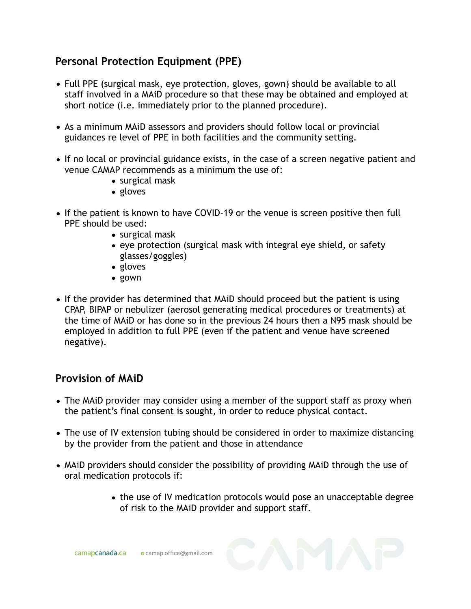#### **Personal Protection Equipment (PPE)**

- Full PPE (surgical mask, eye protection, gloves, gown) should be available to all staff involved in a MAiD procedure so that these may be obtained and employed at short notice (i.e. immediately prior to the planned procedure).
- As a minimum MAiD assessors and providers should follow local or provincial guidances re level of PPE in both facilities and the community setting.
- If no local or provincial guidance exists, in the case of a screen negative patient and venue CAMAP recommends as a minimum the use of:
	- surgical mask
	- gloves
- If the patient is known to have COVID-19 or the venue is screen positive then full PPE should be used:
	- surgical mask
	- eye protection (surgical mask with integral eye shield, or safety glasses/goggles)
	- gloves
	- gown
- If the provider has determined that MAiD should proceed but the patient is using CPAP, BIPAP or nebulizer (aerosol generating medical procedures or treatments) at the time of MAiD or has done so in the previous 24 hours then a N95 mask should be employed in addition to full PPE (even if the patient and venue have screened negative).

### **Provision of MAiD**

- The MAiD provider may consider using a member of the support staff as proxy when the patient's final consent is sought, in order to reduce physical contact.
- The use of IV extension tubing should be considered in order to maximize distancing by the provider from the patient and those in attendance
- MAiD providers should consider the possibility of providing MAiD through the use of oral medication protocols if:
	- the use of IV medication protocols would pose an unacceptable degree of risk to the MAiD provider and support staff.